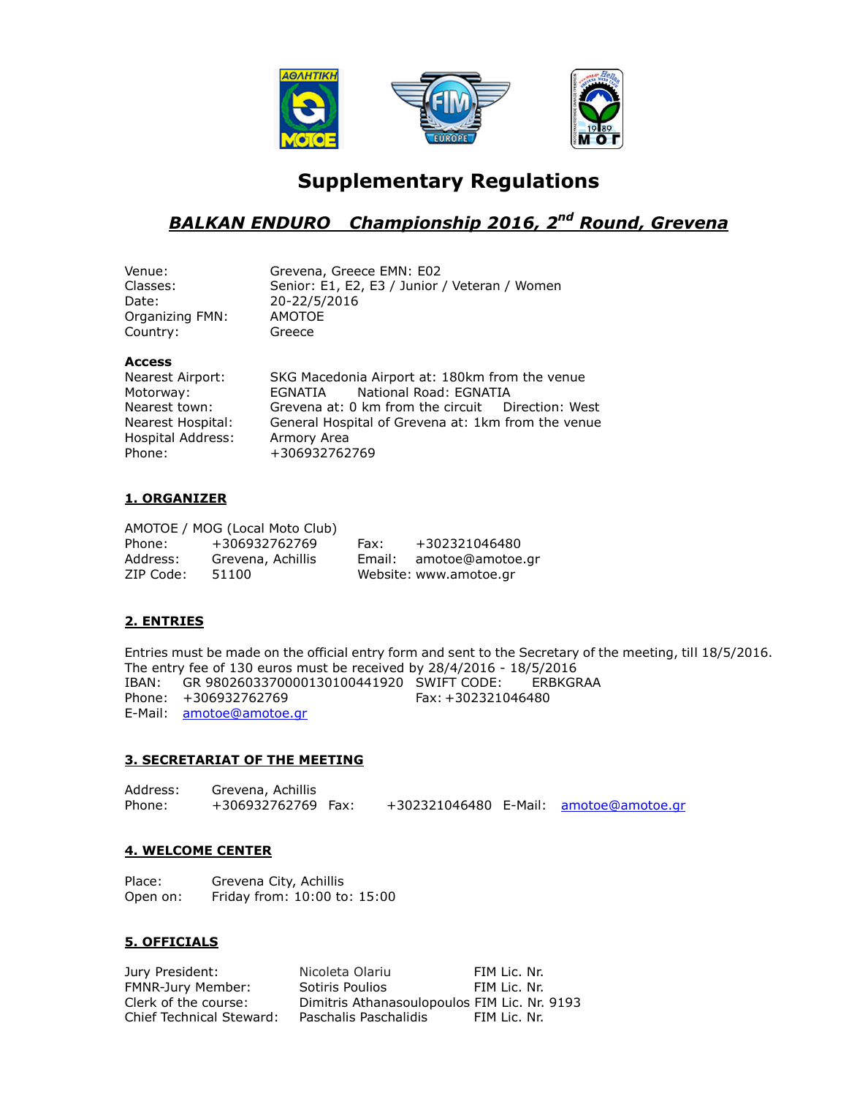

# **Supplementary Regulations**

## *BALKAN ENDURO Championship 2016, 2nd Round, Grevena*

| Venue:          | Grevena, Greece EMN: E02                      |
|-----------------|-----------------------------------------------|
| Classes:        | Senior: E1, E2, E3 / Junior / Veteran / Women |
| Date:           | 20-22/5/2016                                  |
| Organizing FMN: | AMOTOE                                        |
| Country:        | Greece                                        |
|                 |                                               |

## **Access**

| Nearest Airport:  | SKG Macedonia Airport at: 180km from the venue     |  |  |  |
|-------------------|----------------------------------------------------|--|--|--|
| Motorway:         | EGNATIA National Road: EGNATIA                     |  |  |  |
| Nearest town:     | Grevena at: 0 km from the circuit Direction: West  |  |  |  |
| Nearest Hospital: | General Hospital of Grevena at: 1km from the venue |  |  |  |
| Hospital Address: | Armory Area                                        |  |  |  |
| Phone:            | +306932762769                                      |  |  |  |
|                   |                                                    |  |  |  |

## **1. ORGANIZER**

|           | AMOTOE / MOG (Local Moto Club) |        |                        |
|-----------|--------------------------------|--------|------------------------|
| Phone:    | +306932762769                  | Fax:   | +302321046480          |
| Address:  | Grevena, Achillis              | Email: | amotoe@amotoe.gr       |
| ZIP Code: | 51100                          |        | Website: www.amotoe.gr |

## **2. ENTRIES**

Entries must be made on the official entry form and sent to the Secretary of the meeting, till 18/5/2016. The entry fee of 130 euros must be received by 28/4/2016 - 18/5/2016 IBAN: GR 9802603370000130100441920 SWIFT CODE: ERBKGRAA Phone: +306932762769 Fax: +302321046480 E-Mail: [amotoe@amotoe.gr](mailto:amotoe@amotoe.gr)

## **3. SECRETARIAT OF THE MEETING**

Address: Grevena, Achillis Phone: +306932762769 Fax: +302321046480 E-Mail: [amotoe@amotoe.gr](mailto:amotoe@amotoe.gr)

## **4. WELCOME CENTER**

| Place:   | Grevena City, Achillis       |  |
|----------|------------------------------|--|
| Open on: | Friday from: 10:00 to: 15:00 |  |

## **5. OFFICIALS**

Jury President: Nicoleta Olariu FIM Lic. Nr.<br>
FIM Lic. Nr. FMNR-Jury Member: Sotiris Poulios FIM Lic. Nr. FMNR-Jury Member: Sotiris Poulios FIM Lic. Nr.<br>Clerk of the course: Dimitris Athanasoulopoulos FIM Lic. Nr. Chief Technical Steward: Paschalis Paschalidis FIM Lic. Nr.

Dimitris Athanasoulopoulos FIM Lic. Nr. 9193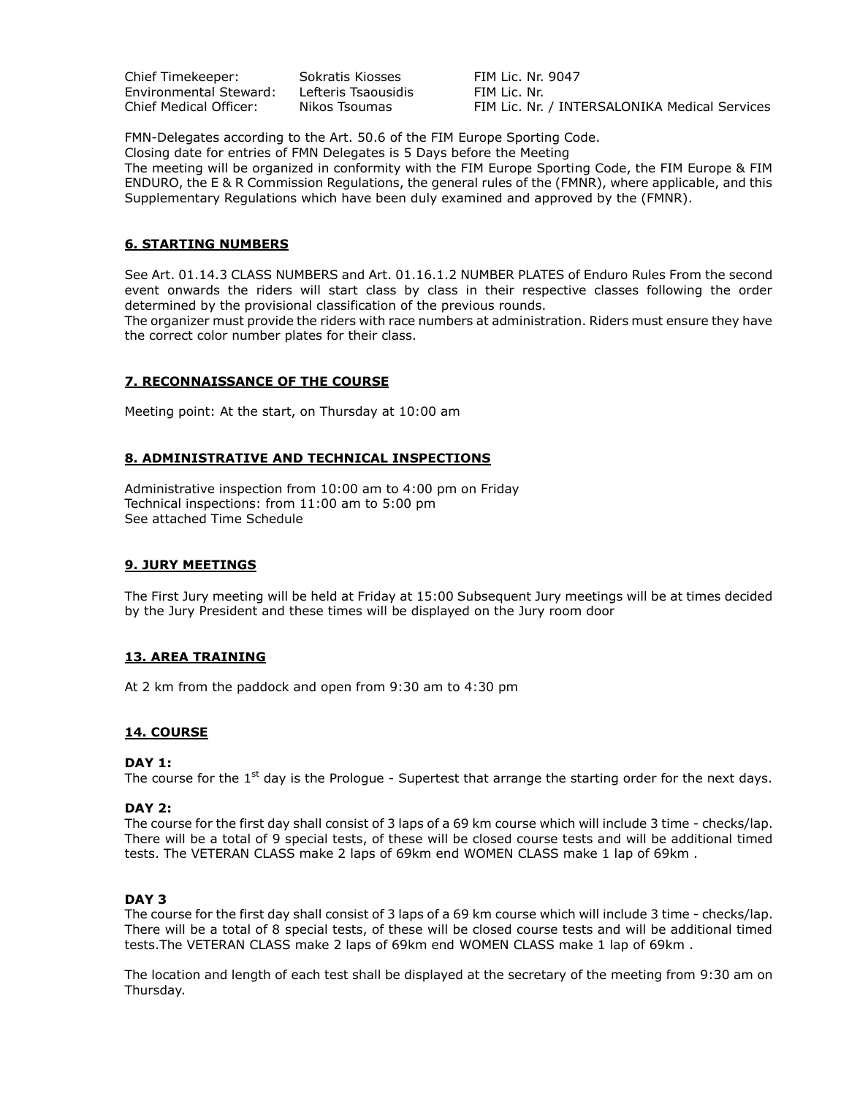Chief Timekeeper: Sokratis Kiosses FIM Lic. Nr. 9047 Environmental Steward: Lefteris Tsaousidis FIM Lic. Nr.

Chief Medical Officer: Nikos Tsoumas FIM Lic. Nr. / INTERSALONIKA Medical Services

FMN-Delegates according to the Art. 50.6 of the FIM Europe Sporting Code. Closing date for entries of FMN Delegates is 5 Days before the Meeting The meeting will be organized in conformity with the FIM Europe Sporting Code, the FIM Europe & FIM ENDURO, the E & R Commission Regulations, the general rules of the (FMNR), where applicable, and this Supplementary Regulations which have been duly examined and approved by the (FMNR).

## **6. STARTING NUMBERS**

See Art. 01.14.3 CLASS NUMBERS and Art. 01.16.1.2 NUMBER PLATES of Enduro Rules From the second event onwards the riders will start class by class in their respective classes following the order determined by the provisional classification of the previous rounds.

The organizer must provide the riders with race numbers at administration. Riders must ensure they have the correct color number plates for their class.

## **7. RECONNAISSANCE OF THE COURSE**

Meeting point: At the start, on Thursday at 10:00 am

## **8. ADMINISTRATIVE AND TECHNICAL INSPECTIONS**

Administrative inspection from 10:00 am to 4:00 pm on Friday Technical inspections: from 11:00 am to 5:00 pm See attached Time Schedule

#### **9. JURY MEETINGS**

The First Jury meeting will be held at Friday at 15:00 Subsequent Jury meetings will be at times decided by the Jury President and these times will be displayed on the Jury room door

## **13. AREA TRAINING**

At 2 km from the paddock and open from 9:30 am to 4:30 pm

#### **14. COURSE**

#### **DAY 1:**

The course for the  $1<sup>st</sup>$  day is the Prologue - Supertest that arrange the starting order for the next days.

#### **DAY 2:**

The course for the first day shall consist of 3 laps of a 69 km course which will include 3 time - checks/lap. There will be a total of 9 special tests, of these will be closed course tests and will be additional timed tests. The VETERAN CLASS make 2 laps of 69km end WOMEN CLASS make 1 lap of 69km .

#### **DAY 3**

The course for the first day shall consist of 3 laps of a 69 km course which will include 3 time - checks/lap. There will be a total of 8 special tests, of these will be closed course tests and will be additional timed tests.The VETERAN CLASS make 2 laps of 69km end WOMEN CLASS make 1 lap of 69km .

The location and length of each test shall be displayed at the secretary of the meeting from 9:30 am on Thursday.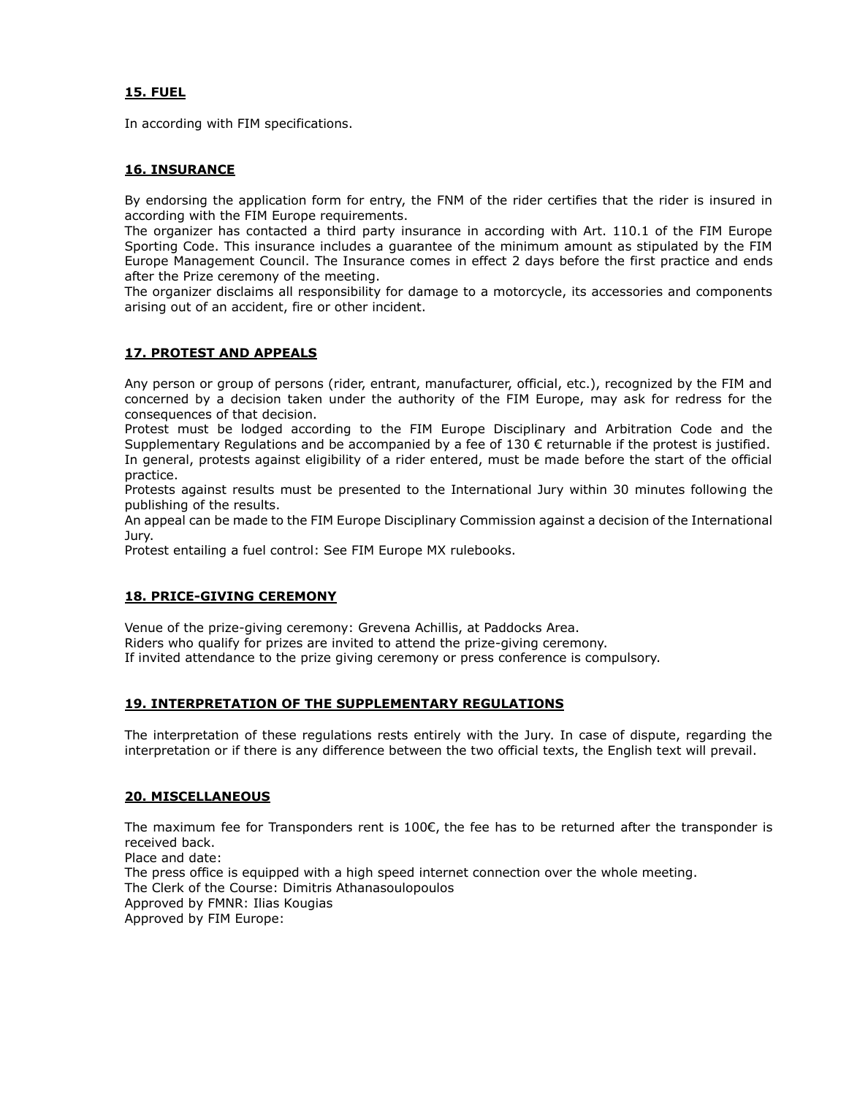## **15. FUEL**

In according with FIM specifications.

## **16. INSURANCE**

By endorsing the application form for entry, the FNM of the rider certifies that the rider is insured in according with the FIM Europe requirements.

The organizer has contacted a third party insurance in according with Art. 110.1 of the FIM Europe Sporting Code. This insurance includes a guarantee of the minimum amount as stipulated by the FIM Europe Management Council. The Insurance comes in effect 2 days before the first practice and ends after the Prize ceremony of the meeting.

The organizer disclaims all responsibility for damage to a motorcycle, its accessories and components arising out of an accident, fire or other incident.

## **17. PROTEST AND APPEALS**

Any person or group of persons (rider, entrant, manufacturer, official, etc.), recognized by the FIM and concerned by a decision taken under the authority of the FIM Europe, may ask for redress for the consequences of that decision.

Protest must be lodged according to the FIM Europe Disciplinary and Arbitration Code and the Supplementary Regulations and be accompanied by a fee of 130 € returnable if the protest is justified. In general, protests against eligibility of a rider entered, must be made before the start of the official practice.

Protests against results must be presented to the International Jury within 30 minutes following the publishing of the results.

An appeal can be made to the FIM Europe Disciplinary Commission against a decision of the International Jury.

Protest entailing a fuel control: See FIM Europe MX rulebooks.

## **18. PRICE-GIVING CEREMONY**

Venue of the prize-giving ceremony: Grevena Achillis, at Paddocks Area. Riders who qualify for prizes are invited to attend the prize-giving ceremony. If invited attendance to the prize giving ceremony or press conference is compulsory.

## **19. INTERPRETATION OF THE SUPPLEMENTARY REGULATIONS**

The interpretation of these regulations rests entirely with the Jury. In case of dispute, regarding the interpretation or if there is any difference between the two official texts, the English text will prevail.

## **20. MISCELLANEOUS**

The maximum fee for Transponders rent is 100€, the fee has to be returned after the transponder is received back. Place and date: The press office is equipped with a high speed internet connection over the whole meeting. The Clerk of the Course: Dimitris Athanasoulopoulos Approved by FMNR: Ilias Kougias Approved by FIM Europe: